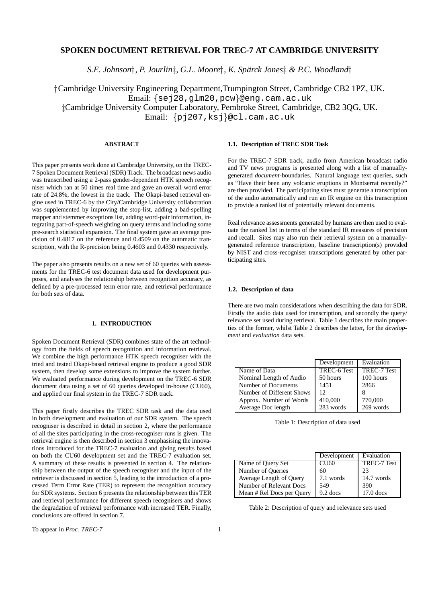## **SPOKEN DOCUMENT RETRIEVAL FOR TREC-7 AT CAMBRIDGE UNIVERSITY**

*S.E. Johnson , P. Jourlin, G.L. Moore , K. Spar¨ ck Jones & P.C. Woodland*

 Cambridge University Engineering Department,Trumpington Street, Cambridge CB2 1PZ, UK. Email: {sej28,g1m20,pcw}@eng.cam.ac.uk Cambridge University Computer Laboratory, Pembroke Street, Cambridge, CB2 3QG, UK. Email: {pj207,ksj}@cl.cam.ac.uk

## **ABSTRACT**

This paper presents work done at Cambridge University, on the TREC-7 Spoken Document Retrieval (SDR) Track. The broadcast news audio was transcribed using a 2-pass gender-dependent HTK speech recogniser which ran at 50 times real time and gave an overall word error rate of 24.8%, the lowest in the track. The Okapi-based retrieval engine used in TREC-6 by the City/Cambridge University collaboration was supplemented by improving the stop-list, adding a bad-spelling mapper and stemmer exceptions list, adding word-pair information, integrating part-of-speech weighting on query terms and including some pre-search statistical expansion. The final system gave an average precision of 0.4817 on the reference and 0.4509 on the automatic transcription, with the R-precision being 0.4603 and 0.4330 respectively.

The paper also presents results on a new set of 60 queries with assessments for the TREC-6 test document data used for development purposes, and analyses the relationship between recognition accuracy, as defined by a pre-processed term error rate, and retrieval performance for both sets of data.

### **1. INTRODUCTION**

Spoken Document Retrieval (SDR) combines state of the art technology from the fields of speech recognition and information retrieval. We combine the high performance HTK speech recogniser with the tried and tested Okapi-based retrieval engine to produce a good SDR system, then develop some extensions to improve the system further. We evaluated performance during development on the TREC-6 SDR document data using a set of 60 queries developed in-house (CU60), and applied our final system in the TREC-7 SDR track.

This paper firstly describes the TREC SDR task and the data used in both development and evaluation of our SDR system. The speech recogniser is described in detail in section 2, where the performance of all the sites participating in the cross-recogniser runs is given. The retrieval engine is then described in section 3 emphasising the innovations introduced for the TREC-7 evaluation and giving results based on both the CU60 development set and the TREC-7 evaluation set. A summary of these results is presented in section 4. The relationship between the output of the speech recogniser and the input of the retriever is discussed in section 5, leading to the introduction of a processed Term Error Rate (TER) to represent the recognition accuracy for SDR systems. Section 6 presents the relationship between this TER and retrieval performance for different speech recognisers and shows the degradation of retrieval performance with increased TER. Finally, conclusions are offered in section 7.

## **1.1. Description of TREC SDR Task**

For the TREC-7 SDR track, audio from American broadcast radio and TV news programs is presented along with a list of manuallygenerated *document*-boundaries. Natural language text queries, such as "Have their been any volcanic eruptions in Montserrat recently?" are then provided. The participating sites must generate a transcription of the audio automatically and run an IR engine on this transcription to provide a ranked list of potentially relevant documents.

Real relevance assessments generated by humans are then used to evaluate the ranked list in terms of the standard IR measures of precision and recall. Sites may also run their retrieval system on a manuallygenerated reference transcription, baseline transcription(s) provided by NIST and cross-recogniser transcriptions generated by other participating sites.

## **1.2. Description of data**

There are two main considerations when describing the data for SDR. Firstly the audio data used for transcription, and secondly the query/ relevance set used during retrieval. Table 1 describes the main properties of the former, whilst Table 2 describes the latter, for the *development* and *evaluation* data sets.

|                           | Development        | Evaluation  |
|---------------------------|--------------------|-------------|
| Name of Data              | <b>TREC-6 Test</b> | TREC-7 Test |
| Nominal Length of Audio   | 50 hours           | 100 hours   |
| Number of Documents       | 1451               | 2866        |
| Number of Different Shows | 12                 |             |
| Approx. Number of Words   | 410,000            | 770,000     |
| Average Doc length        | 283 words          | 269 words   |

Table 1: Description of data used

|                           | Development | Evaluation  |
|---------------------------|-------------|-------------|
| Name of Query Set         | CU60        | TREC-7 Test |
| Number of Queries         | 60          | 23          |
| Average Length of Query   | 7.1 words   | 14.7 words  |
| Number of Relevant Docs   | 549         | 390         |
| Mean # Rel Docs per Query | $9.2$ docs  | $17.0$ does |

Table 2: Description of query and relevance sets used

To appear in *Proc.* TREC-7 1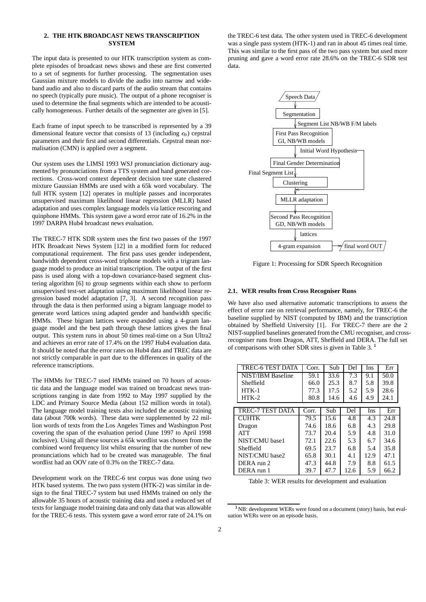## **2. THE HTK BROADCAST NEWS TRANSCRIPTION SYSTEM**

The input data is presented to our HTK transcription system as complete episodes of broadcast news shows and these are first converted to a set of segments for further processing. The segmentation uses Gaussian mixture models to divide the audio into narrow and wideband audio and also to discard parts of the audio stream that contains no speech (typically pure music). The output of a phone recogniser is used to determine the final segments which are intended to be acoustically homogeneous. Further details of the segmenter are given in [5].

Each frame of input speech to be transcribed is represented by a 39 dimensional feature vector that consists of 13 (including  $c_0$ ) cepstral parameters and their first and second differentials. Cepstral mean normalisation (CMN) is applied over a segment.

Our system uses the LIMSI 1993 WSJ pronunciation dictionary augmented by pronunciations from a TTS system and hand generated corrections. Cross-word context dependent decision tree state clustered mixture Gaussian HMMs are used with a 65k word vocabulary. The full HTK system [12] operates in multiple passes and incorporates unsupervised maximum likelihood linear regression (MLLR) based adaptation and uses complex language models via lattice rescoring and quinphone HMMs. This system gave a word error rate of 16.2% in the 1997 DARPA Hub4 broadcast news evaluation.

The TREC-7 HTK SDR system uses the first two passes of the 1997 HTK Broadcast News System [12] in a modified form for reduced computational requirement. The first pass uses gender independent, bandwidth dependent cross-word triphone models with a trigram language model to produce an initial transcription. The output of the first pass is used along with a top-down covariance-based segment clustering algorithm [6] to group segments within each show to perform unsupervised test-set adaptation using maximum likelihood linear regression based model adaptation [7, 3]. A second recognition pass through the data is then performed using a bigram language model to generate word lattices using adapted gender and bandwidth specific HMMs. These bigram lattices were expanded using a 4-gram language model and the best path through these lattices gives the final output. This system runs in about 50 times real-time on a Sun Ultra2 and achieves an error rate of 17.4% on the 1997 Hub4 evaluation data. It should be noted that the error rates on Hub4 data and TREC data are not strictly comparable in part due to the differences in quality of the reference transcriptions.

The HMMs for TREC-7 used HMMs trained on 70 hours of acoustic data and the language model was trained on broadcast news transcriptions ranging in date from 1992 to May 1997 supplied by the LDC and Primary Source Media (about 152 million words in total). The language model training texts also included the acoustic training data (about 700k words). These data were supplemented by 22 million words of texts from the Los Angeles Times and Washington Post covering the span of the evaluation period (June 1997 to April 1998 inclusive). Using all these sources a 65k wordlist was chosen from the combined word frequency list whilst ensuring that the number of new pronunciations which had to be created was manageable. The final wordlist had an OOV rate of 0.3% on the TREC-7 data.

Development work on the TREC-6 test corpus was done using two HTK based systems. The two pass system (HTK-2) was similar in design to the final TREC-7 system but used HMMs trained on only the allowable 35 hours of acoustic training data and used a reduced set of texts for language model training data and only data that was allowable for the TREC-6 tests. This system gave a word error rate of 24.1% on the TREC-6 test data. The other system used in TREC-6 development was a single pass system (HTK-1) and ran in about 45 times real time. This was similar to the first pass of the two pass system but used more pruning and gave a word error rate 28.6% on the TREC-6 SDR test data.



Figure 1: Processing for SDR Speech Recognition

#### **2.1. WER results from Cross Recogniser Runs**

We have also used alternative automatic transcriptions to assess the effect of error rate on retrieval performance, namely, for TREC-6 the baseline supplied by NIST (computed by IBM) and the transcription obtained by Sheffield University [1]. For TREC-7 there are the 2 NIST-supplied baselines generated from the CMU recogniser, and crossrecogniser runs from Dragon, ATT, Sheffield and DERA. The full set of comparisons with other SDR sites is given in Table 3.

| TREC-6 TEST DATA  | Corr. | Sub  | Del  | Ins  | Err  |
|-------------------|-------|------|------|------|------|
| NIST/IBM Baseline | 59.1  | 33.6 | 7.3  | 9.1  | 50.0 |
| Sheffield         | 66.0  | 25.3 | 8.7  | 5.8  | 39.8 |
| $HTK-1$           | 77.3  | 17.5 | 5.2  | 5.9  | 28.6 |
| $HTK-2$           | 80.8  | 14.6 | 4.6  | 4.9  | 24.1 |
|                   |       |      |      |      |      |
| TREC-7 TEST DATA  | Corr. | Sub  | Del  | Ins  | Err  |
| <b>CUHTK</b>      | 79.5  | 15.6 | 4.8  | 4.3  | 24.8 |
| Dragon            | 74.6  | 18.6 | 6.8  | 4.3  | 29.8 |
| <b>ATT</b>        | 73.7  | 20.4 | 5.9  | 4.8  | 31.0 |
| NIST/CMU base1    | 72.1  | 22.6 | 5.3  | 6.7  | 34.6 |
| Sheffield         | 69.5  | 23.7 | 6.8  | 5.4  | 35.8 |
| NIST/CMU base2    | 65.8  | 30.1 | 4.1  | 12.9 | 47.1 |
| DERA run 2        | 47.3  | 44.8 | 7.9  | 8.8  | 61.5 |
| DERA run 1        | 39.7  | 47.7 | 12.6 | 5.9  | 66.2 |

Table 3: WER results for development and evaluation

<sup>&</sup>lt;sup>1</sup>NB: development WERs were found on a document (story) basis, but evaluation WERs were on an episode basis.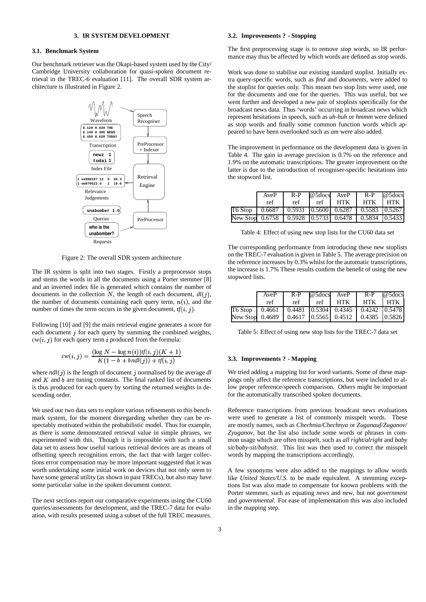## **3. IR SYSTEM DEVELOPMENT**

## **3.1. Benchmark System**

Our benchmark retriever was the Okapi-based system used by the City/ Cambridge University collaboration for quasi-spoken document retrieval in the TREC-6 evaluation [11]. The overall SDR system architecture is illustrated in Figure 2.



Figure 2: The overall SDR system architecture

The IR system is split into two stages. Firstly a preprocessor stops and stems the words in all the documents using a Porter stemmer [8] and an inverted index file is generated which contains the number of documents in the collection N, the length of each document,  $dl(j)$ , the number of documents containing each query term,  $n(i)$ , and the number of times the term occurs in the given document,  $tf(i, j)$ .

Following [10] and [9] the main retrieval engine generates a score for each document  $j$  for each query by summing the combined weights,  $cw(i, j)$  for each query term *i* produced from the formula:

$$
cw(i,j) = \frac{(\log N - \log n(i))\{f(i,j)(K+1)}{K(1-b + bndl(j)) + f(i,j)}
$$

where  $ndl(j)$  is the length of document  $j$  normalised by the average  $dl$ and  $K$  and  $b$  are tuning constants. The final ranked list of documents is thus produced for each query by sorting the returned weights in descending order.

We used our two data sets to explore various refinements to this benchmark system, for the moment disregarding whether they can be respectably motivated within the probabilistic model. Thus for example, as there is some demonstrated retrieval value in simple phrases, we experimented with this. Though it is impossible with such a small data set to assess how useful various retrieval devices are as means of offsetting speech recognition errors, the fact that with larger collections error compensation may be more important suggested that it was worth undertaking some initial work on devices that not only seem to have some general utility (as shown in past TRECs), but also may have some particular value in the spoken document context.

The next sections report our comparative experiments using the CU60 queries/assessments for development, and the TREC-7 data for evaluation, with results presented using a subset of the full TREC measures.

## **3.2. Improvements ? - Stopping**

The first preprocessing stage is to remove *stop* words, so IR performance may thus be affected by which words are defined as stop words.

Work was done to stabilise our existing standard stoplist. Initially extra query-specific words, such as *find* and *documents*, were added to the stoplist for queries only. This meant two stop lists were used, one for the documents and one for the queries. This was useful, but we went further and developed a new pair of stoplists specifically for the broadcast news data. Thus 'words' occurring in broadcast news which represent hesitations in speech, such as *uh-huh* or *hmmm* were defined as stop words and finally some common function words which appeared to have been overlooked such as *am* were also added.

The improvement in performance on the development data is given in Table 4. The gain in average precision is 0.7% on the reference and 1.9% on the automatic transcriptions. The greater improvement on the latter is due to the introduction of recogniser-specific hesitations into the stopword list.

| AveP                                                          | $R-P$ | @5docs AveP |     | $R-P$   | @5docs |
|---------------------------------------------------------------|-------|-------------|-----|---------|--------|
| ref                                                           | ref   | ref         | HTK | HTK HTK |        |
| T6 Stop   0.6687   0.5931   0.5600   0.6287   0.5583   0.5267 |       |             |     |         |        |
| New Stop 0.6758   0.5928   0.5733   0.6478   0.5834   0.5433  |       |             |     |         |        |

Table 4: Effect of using new stop lists for the CU60 data set

The corresponding performance from introducing these new stoplists on the TREC-7 evaluation is given in Table 5. The average precision on the reference increases by 0.3% whilst for the automatic transcriptions, the increase is 1.7% These results confirm the benefit of using the new stopword lists.

| AveP                                                          |     | R-P @5docs AveP |         |         | $R-P$ @ 5 docs |
|---------------------------------------------------------------|-----|-----------------|---------|---------|----------------|
| ref                                                           | ref |                 | ref HTK | HTK HTK |                |
| T6 Stop   0.4661   0.4481   0.5304   0.4345   0.4242   0.5478 |     |                 |         |         |                |
| New Stop 0.4689   0.4617   0.5565   0.4512   0.4385   0.5826  |     |                 |         |         |                |

Table 5: Effect of using new stop lists for the TREC-7 data set

#### **3.3. Improvements ? - Mapping**

We tried adding a mapping list for word variants. Some of these mappings only affect the reference transcriptions, but were included to allow proper reference/speech comparison. Others might be important for the automatically transcribed spoken documents.

Reference transcriptions from previous broadcast news evaluations were used to generate a list of commonly misspelt words. These are mostly names, such as *Chechnia/Chechnya* or *Zuganauf/Zuganov/ Zyuganov*, but the list also include some words or phrases in common usage which are often misspelt, such as *all right/alright* and *baby sit/baby-sit/babysit*. This list was then used to correct the misspelt words by mapping the transcriptions accordingly.

A few synonyms were also added to the mappings to allow words like *United States/U.S.* to be made equivalent. A stemming exceptions list was also made to compensate for known problems with the Porter stemmer, such as equating *news* and *new*, but not *government* and *governmental*. For ease of implementation this was also included in the mapping step.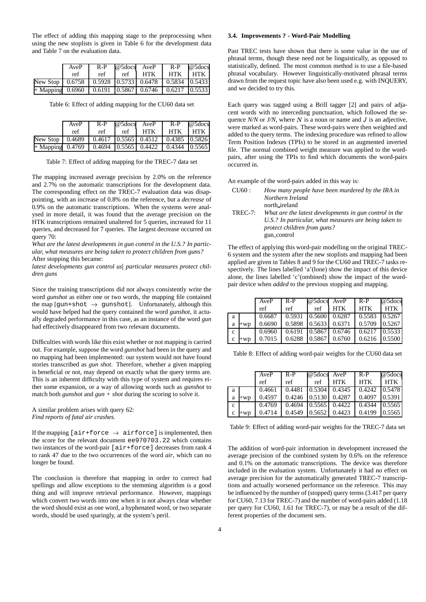The effect of adding this mapping stage to the preprocessing when using the new stoplists is given in Table 6 for the development data and Table 7 on the evaluation data.

|                                                                 | AveP |     |       | $R-P$ @ 5 docs $AveP$ R-P @ 5 docs |         |  |
|-----------------------------------------------------------------|------|-----|-------|------------------------------------|---------|--|
|                                                                 | ref  | ref | $ref$ | HTK I                              | HTK HTK |  |
| New Stop   0.6758   0.5928   0.5733   0.6478   0.5834   0.5433  |      |     |       |                                    |         |  |
| $+$ Mapping 0.6960   0.6191   0.5867   0.6746   0.6217   0.5533 |      |     |       |                                    |         |  |

Table 6: Effect of adding mapping for the CU60 data set

|                                                                 | AveP | $R-P$ |              | @5docs AveP | $R-P$   | @5docs |
|-----------------------------------------------------------------|------|-------|--------------|-------------|---------|--------|
|                                                                 | ref  | ref   | $ref$ $\Box$ | HTK I       | HTK HTK |        |
| New Stop   0.4689   0.4617   0.5565   0.4512   0.4385   0.5826  |      |       |              |             |         |        |
| $+$ Mapping 0.4769   0.4694   0.5565   0.4422   0.4344   0.5565 |      |       |              |             |         |        |

Table 7: Effect of adding mapping for the TREC-7 data set

The mapping increased average precision by 2.0% on the reference and 2.7% on the automatic transcriptions for the development data. The corresponding effect on the TREC-7 evaluation data was disappointing, with an increase of 0.8% on the reference, but a *decrease* of 0.9% on the automatic transcriptions. When the systems were analysed in more detail, it was found that the average precision on the HTK transcriptions remained unaltered for 5 queries, increased for 11 queries, and decreased for 7 queries. The largest decrease occurred on query 70:

*What are the latest developments in gun control in the U.S.? In particular, what measures are being taken to protect children from guns?* After stopping this became:

*latest developments gun control us particular measures protect children guns*

Since the training transcriptions did not always consistently write the word *gunshot* as either one or two words, the mapping file contained the map [gun+shot  $\rightarrow$  gunshot]. Unfortunately, although this would have helped had the query contained the word *gunshot*, it actually degraded performance in this case, as an instance of the word *gun* had effectively disappeared from two relevant documents.

Difficulties with words like this exist whether or not mapping is carried out. For example, suppose the word *gunshot* had been in the query and no mapping had been implemented: our system would not have found stories transcribed as *gun shot*. Therefore, whether a given mapping is beneficial or not, may depend on exactly what the query terms are. This is an inherent difficulty with this type of system and requires either some expansion, or a way of allowing words such as *gunshot* to match both *gunshot* and *gun + shot* during the scoring to solve it.

A similar problem arises with query 62: *Find reports of fatal air crashes.*

If the mapping [air+force  $\rightarrow$  airforce] is implemented, then the score for the relevant document ee970703.22 which contains two instances of the word-pair [air+force] decreases from rank 4 to rank 47 due to the two occurrences of the word *air*, which can no longer be found.

The conclusion is therefore that mapping in order to correct bad spellings and allow exceptions to the stemming algorithm is a good thing and will improve retrieval performance. However, mappings which convert two words into one when it is not always clear whether the word should exist as one word, a hyphenated word, or two separate words, should be used sparingly, at the system's peril.

## **3.4. Improvements ? - Word-Pair Modelling**

Past TREC tests have shown that there is some value in the use of phrasal terms, though these need not be linguistically, as opposed to statistically, defined. The most common method is to use a file-based phrasal vocabulary. However linguistically-motivated phrasal terms drawn from the request topic have also been used e.g. with INQUERY, and we decided to try this.

Each query was tagged using a Brill tagger [2] and pairs of adjacent words with no interceding punctuation, which followed the sequence  $N/N$  or  $J/N$ , where  $N$  is a noun or name and  $J$  is an adjective, were marked as word-pairs. These word-pairs were then weighted and added to the query terms. The indexing procedure was refined to allow Term Position Indexes (TPIs) to be stored in an augmented inverted file. The normal combined weight measure was applied to the wordpairs, after using the TPIs to find which documents the word-pairs occurred in.

An example of the word-pairs added in this way is:

| CU60:   | How many people have been murdered by the IRA in       |
|---------|--------------------------------------------------------|
|         | Northern Ireland                                       |
|         | north_ireland                                          |
| TREC-7: | What are the latest developments in gun control in the |
|         | U.S.? In particular, what measures are being taken to  |
|         | protect children from guns?                            |
|         | gun_control                                            |

The effect of applying this word-pair modelling on the original TREC-6 system and the system after the new stoplists and mapping had been applied are given in Tables 8 and 9 for the CU60 and TREC-7 tasks respectively. The lines labelled 'a'(lone) show the impact of this device alone, the lines labelled 'c'(ombined) show the impact of the wordpair device when *added* to the previous stopping and mapping.

|             |       | AveP   | $R-P$                      | $@5$ docs AveP |                              | $R-P$                | @5docs     |
|-------------|-------|--------|----------------------------|----------------|------------------------------|----------------------|------------|
|             |       | ref    | ref                        | ref            | <b>HTK</b>                   | <b>HTK</b>           | <b>HTK</b> |
| a           |       | 0.6687 | $0.5931$ $0.5600$ $0.6287$ |                |                              | $\mid$ 0.5583 0.5267 |            |
| a           | $+WD$ | 0.6690 | 0.5898                     |                | $\vert 0.5633 \vert 0.6371$  | 0.5709               | 0.5267     |
| $\mathbf c$ |       | 0.6960 |                            |                | $0.6191$ $ 0.5867 $ $0.6746$ | 0.6217               | 0.5533     |
| C           |       | 0.7015 | 0.6288                     | 0.5867         | 0.6760                       | 0.6216               | 0.5500     |

Table 8: Effect of adding word-pair weights for the CU60 data set

|              |       | AveP   | $R-P$  | @5docs AveP |                                                                       | $R-P$                       | @5docs |
|--------------|-------|--------|--------|-------------|-----------------------------------------------------------------------|-----------------------------|--------|
|              |       |        |        |             |                                                                       |                             |        |
|              |       | ref    | ref    | ref         | <b>HTK</b>                                                            | <b>HTK</b>                  | HTK    |
| a            |       | 0.4661 |        |             | $\mid$ 0.4481 $\mid$ 0.5304 $\mid$ 0.4345 $\mid$ 0.4242 $\mid$ 0.5478 |                             |        |
| a            | $+WD$ | 0.4597 |        |             | $0.4246$ $ 0.5130 $ 0.4287                                            | 0.4097                      | 0.5391 |
| $\mathbf{c}$ |       | 0.4769 |        |             | $0.4694$ $ 0.5565 $ $0.4422$                                          | $\mid$ 0.4344 $\mid$ 0.5565 |        |
| c            | $+WD$ | 0.4714 | 0.4549 |             | $0.5652$ 0.4423                                                       | 0.4199                      | 0.5565 |

Table 9: Effect of adding word-pair weights for the TREC-7 data set

The addition of word-pair information in development increased the average precision of the combined system by 0.6% on the reference and 0.1% on the automatic transcriptions. The device was therefore included in the evaluation system. Unfortunately it had no effect on average precision for the automatically generated TREC-7 transcriptions and actually worsened performance on the reference. This may be influenced by the number of (stopped) query terms (3.417 per query for CU60, 7.13 for TREC-7) and the number of word-pairs added (1.18 per query for CU60, 1.61 for TREC-7), or may be a result of the different properties of the document sets.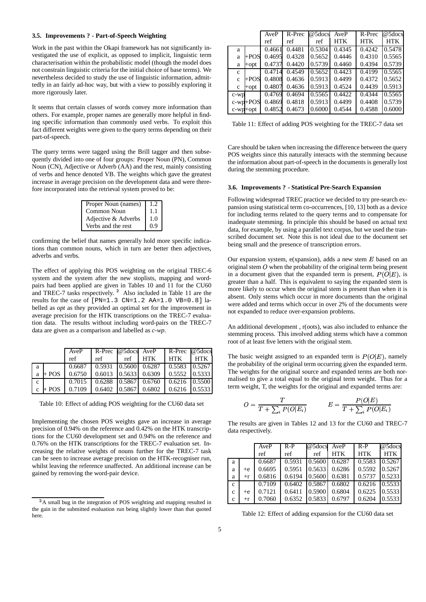## **3.5. Improvements ? - Part-of-Speech Weighting**

Work in the past within the Okapi framework has not significantly investigated the use of explicit, as opposed to implicit, linguistic term characterisation within the probabilistic model (though the model does not constrain linguistic criteria for the initial choice of base terms). We nevertheless decided to study the use of linguistic information, admittedly in an fairly ad-hoc way, but with a view to possibly exploring it more rigorously later.

It seems that certain classes of words convey more information than others. For example, proper names are generally more helpful in finding specific information than commonly used verbs. To exploit this fact different weights were given to the query terms depending on their part-of-speech.

The query terms were tagged using the Brill tagger and then subsequently divided into one of four groups: Proper Noun (PN), Common Noun (CN), Adjective or Adverb (AA) and the rest, mainly consisting of verbs and hence denoted VB. The weights which gave the greatest increase in average precision on the development data and were therefore incorporated into the retrieval system proved to be:

| Proper Noun (names) | 1.2 |
|---------------------|-----|
| Common Noun         | 1.1 |
| Adjective & Adverbs | 1.0 |
| Verbs and the rest  | 09  |

confirming the belief that names generally hold more specific indications than common nouns, which in turn are better then adjectives, adverbs and verbs.

The effect of applying this POS weighting on the original TREC-6 system and the system after the new stoplists, mapping and wordpairs had been applied are given in Tables 10 and 11 for the CU60 and TREC-7 tasks respectively. Also included in Table 11 are the results for the case of [PN=1.3 CN=1.2 AA=1.0 VB=0.8] labelled as *opt* as they provided an optimal set for the improvement in average precision for the HTK transcriptions on the TREC-7 evaluation data. The results without including word-pairs on the TREC-7 data are given as a comparison and labelled as *c-wp*.

|              |         | AveP   |                                                       |     | R-Prec @5docs AveP R-Prec @5docs             |       |     |
|--------------|---------|--------|-------------------------------------------------------|-----|----------------------------------------------|-------|-----|
|              |         | ref    | ref                                                   | ref | <b>HTK</b>                                   | l htk | HTK |
| a            |         |        | $0.6687$ $0.5931$ $0.5600$ $0.6287$ $0.5583$ $0.5267$ |     |                                              |       |     |
| a            | $+$ POS |        | $0.6750$   0.6013   0.5633   0.6309   0.5552   0.5333 |     |                                              |       |     |
| $\mathbf{c}$ |         |        | $0.7015$   0.6288   0.5867   0.6760   0.6216   0.5500 |     |                                              |       |     |
| $\mathbf c$  | + POS   | 0.7109 |                                                       |     | $0.6402$ $0.5867$ $0.6802$ $0.6216$ $0.5533$ |       |     |

Table 10: Effect of adding POS weighting for the CU60 data set

Implementing the chosen POS weights gave an increase in average precision of 0.94% on the reference and 0.42% on the HTK transcriptions for the CU60 development set and 0.94% on the reference and 0.76% on the HTK transcriptions for the TREC-7 evaluation set. Increasing the relative weights of nouns further for the TREC-7 task can be seen to increase average precision on the HTK-recogniser run, whilst leaving the reference unaffected. An additional increase can be gained by removing the word-pair device.

|              |             | AveP   | R-Prec | $\overline{\omega}$ 5docs | AveP       | R-Prec     | @5docs |
|--------------|-------------|--------|--------|---------------------------|------------|------------|--------|
|              |             | ref    | ref    | ref                       | <b>HTK</b> | <b>HTK</b> | HTK    |
| a            |             | 0.4661 | 0.4481 | 0.5304                    | 0.4345     | 0.4242     | 0.5478 |
| a            | $+POS$      | 0.4695 | 0.4328 | 0.5652                    | 0.4446     | 0.4310     | 0.5565 |
| a            | +opt        | 0.4737 | 0.4420 | 0.5739                    | 0.4460     | 0.4394     | 0.5739 |
| $\mathbf c$  |             | 0.4714 | 0.4549 | 0.5652                    | 0.4423     | 0.4199     | 0.5565 |
| $\mathbf{C}$ | $+POS$      | 0.4808 | 0.4636 | 0.5913                    | 0.4499     | 0.4372     | 0.5652 |
| c            | $+$ opt     | 0.4807 | 0.4636 | 0.5913                    | 0.4524     | 0.4439     | 0.5913 |
| $c-wp$       |             | 0.4769 | 0.4694 | 0.5565                    | 0.4422     | 0.4344     | 0.5565 |
|              | $c$ -wp+POS | 0.4869 | 0.4818 | 0.5913                    | 0.4499     | 0.4408     | 0.5739 |
| c-wp+opt     |             | 0.4852 | 0.4673 | 0.6000                    | 0.4544     | 0.4588     | 0.6000 |
|              |             |        |        |                           |            |            |        |

Table 11: Effect of adding POS weighting for the TREC-7 data set

Care should be taken when increasing the difference between the query POS weights since this naturally interacts with the stemming because the information about part-of-speech in the documents is generally lost during the stemming procedure.

#### **3.6. Improvements ? - Statistical Pre-Search Expansion**

Following widespread TREC practice we decided to try pre-search expansion using statistical term co-occurrences, [10, 13] both as a device for including terms related to the query terms and to compensate for inadequate stemming. In principle this should be based on actual text data, for example, by using a parallel text corpus, but we used the transcribed document set. Note this is not ideal due to the document set being small and the presence of transcription errors.

Our expansion system,  $e(x$ pansion), adds a new stem  $E$  based on an original stem  $O$  when the probability of the original term being present in a document given that the expanded term is present,  $P(O|E)$ , is greater than a half. This is equivalent to saying the expanded stem is more likely to occur when the original stem is present than when it is absent. Only stems which occur in more documents than the original were added and terms which occur in over 2% of the documents were not expanded to reduce over-expansion problems.

An additional development , r(oots), was also included to enhance the stemming process. This involved adding stems which have a common root of at least five letters with the original stem.

The basic weight assigned to an expanded term is  $P(O|E)$ , namely the probability of the original term occurring given the expanded term. The weights for the original source and expanded terms are both normalised to give a total equal to the original term weight. Thus for a term weight, T, the weights for the original and expanded terms are:

$$
O = \frac{T}{T + \sum_{i} P(O|E_i)} \qquad E = \frac{P(O|E)}{T + \sum_{i} P(O|E_i)}
$$

The results are given in Tables 12 and 13 for the CU60 and TREC-7 data respectively.

|              |      | AveP   | $R-P$  | @5docs AveP |            | $R-P$      | $@5$ docs  |
|--------------|------|--------|--------|-------------|------------|------------|------------|
|              |      | ref    | ref    | ref         | <b>HTK</b> | <b>HTK</b> | <b>HTK</b> |
| a            |      | 0.6687 | 0.5931 | 0.5600      | 0.6287     | 0.5583     | 0.5267     |
| a            | $+e$ | 0.6695 | 0.5951 | 0.5633      | 0.6286     | 0.5592     | 0.5267     |
| a            | $+r$ | 0.6816 | 0.6194 | 0.5600      | 0.6381     | 0.5737     | 0.5233     |
| $\mathbf{c}$ |      | 0.7109 | 0.6402 | 0.5867      | 0.6802     | 0.6216     | 0.5533     |
| c            | $+e$ | 0.7121 | 0.6411 | 0.5900      | 0.6804     | 0.6225     | 0.5533     |
| c            | $+r$ | 0.7060 | 0.6352 | 0.5833      | 0.6797     | 0.6204     | 0.5533     |

Table 12: Effect of adding expansion for the CU60 data set

<sup>&</sup>lt;sup>2</sup>A small bug in the integration of POS weighting and mapping resulted in the gain in the submitted evaluation run being slightly lower than that quoted here.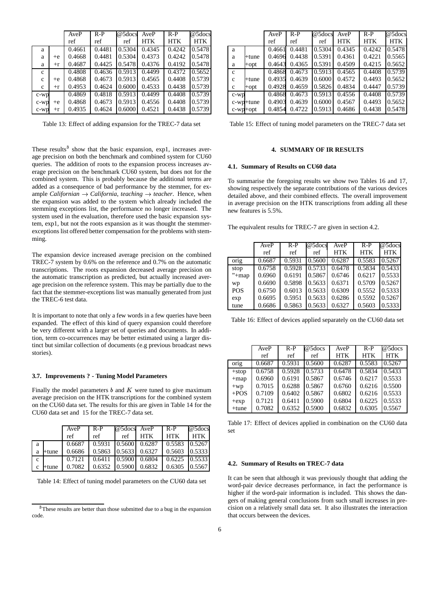|              |      | AveP   | $R-P$  | $@5$ docs | AveP       | $R-P$      | @5docs     |
|--------------|------|--------|--------|-----------|------------|------------|------------|
|              |      | ref    | ref    | ref       | <b>HTK</b> | <b>HTK</b> | <b>HTK</b> |
| a            |      | 0.4661 | 0.4481 | 0.5304    | 0.4345     | 0.4242     | 0.5478     |
| a            | $+e$ | 0.4668 | 0.4481 | 0.5304    | 0.4373     | 0.4242     | 0.5478     |
| a            | $+r$ | 0.4687 | 0.4425 | 0.5478    | 0.4376     | 0.4192     | 0.5478     |
| $\mathbf{c}$ |      | 0.4808 | 0.4636 | 0.5913    | 0.4499     | 0.4372     | 0.5652     |
| $\mathbf{c}$ | $+e$ | 0.4868 | 0.4673 | 0.5913    | 0.4565     | 0.4408     | 0.5739     |
| c            | $+r$ | 0.4953 | 0.4624 | 0.6000    | 0.4533     | 0.4438     | 0.5739     |
| $c-wp$       |      | 0.4869 | 0.4818 | 0.5913    | 0.4499     | 0.4408     | 0.5739     |
| $c-wp$       | $+e$ | 0.4868 | 0.4673 | 0.5913    | 0.4556     | 0.4408     | 0.5739     |
| $c$ - $wp$   | $+r$ | 0.4935 | 0.4624 | 0.6000    | 0.4521     | 0.4438     | 0.5739     |
|              |      |        |        |           |            |            |            |

Table 13: Effect of adding expansion for the TREC-7 data set

These results<sup>3</sup> show that the basic expansion, exp1, increases average precision on both the benchmark and combined system for CU60 queries. The addition of roots to the expansion process increases average precision on the benchmark CU60 system, but does not for the combined system. This is probably because the additional terms are added as a consequence of bad performance by the stemmer, for example *Californian*  $\rightarrow$  *California*, *teaching*  $\rightarrow$  *teacher*. Hence, when the expansion was added to the system which already included the stemming exceptions list, the performance no longer increased. The system used in the evaluation, therefore used the basic expansion system, exp1, but not the roots expansion as it was thought the stemmerexceptions list offered better compensation for the problems with stemming.

The expansion device increased average precision on the combined TREC-7 system by 0.6% on the reference and 0.7% on the automatic transcriptions. The roots expansion decreased average precision on the automatic transcription as predicted, but actually increased average precision on the reference system. This may be partially due to the fact that the stemmer-exceptions list was manually generated from just the TREC-6 test data.

It is important to note that only a few words in a few queries have been expanded. The effect of this kind of query expansion could therefore be very different with a larger set of queries and documents. In addition, term co-occurrences may be better estimated using a larger distinct but similar collection of documents (e.g previous broadcast news stories).

#### **3.7. Improvements ? - Tuning Model Parameters**

Finally the model parameters  $b$  and  $K$  were tuned to give maximum average precision on the HTK transcriptions for the combined system on the CU60 data set. The results for this are given in Table 14 for the CU60 data set and 15 for the TREC-7 data set.

|              |          | AveP   | $R-P$ | @5docs AveP |                                               | $R-P$                 | @5docs |
|--------------|----------|--------|-------|-------------|-----------------------------------------------|-----------------------|--------|
|              |          | ref    | ref   | ref         | <b>HTK</b>                                    | <b>HTK</b>            | HTK    |
| a            |          | 0.6687 |       |             | $\mid$ 0.5931 $\mid$ 0.5600   0.6287   0.5583 |                       | 0.5267 |
| a            | $+$ tune | 0.6686 |       |             | $0.5863$ $\mid 0.5633 \mid 0.6327$            | 0.5603                | 0.5333 |
| $\mathbf{c}$ |          | 0.7121 |       |             | $0.6411$ $0.5900$ $0.6804$                    | $0.6225 \cdot 0.5533$ |        |
| $\mathbf{c}$ | +tune    | 0.7082 |       |             | $0.6352$ $ 0.5900 $ $0.6832$                  | 0.6305                | 0.5567 |

Table 14: Effect of tuning model parameters on the CU60 data set

|              |             | AveP   | $R-P$  | @5docs | AveP   | $R-P$      | @5docs     |
|--------------|-------------|--------|--------|--------|--------|------------|------------|
|              |             | ref    | ref    | ref    | HTK    | <b>HTK</b> | <b>HTK</b> |
| a            |             | 0.4661 | 0.4481 | 0.5304 | 0.4345 | 0.4242     | 0.5478     |
| a            | +tune       | 0.4696 | 0.4438 | 0.5391 | 0.4361 | 0.4221     | 0.5565     |
| a            | +opt        | 0.4643 | 0.4365 | 0.5391 | 0.4509 | 0.4215     | 0.5652     |
| $\mathbf{c}$ |             | 0.4868 | 0.4673 | 0.5913 | 0.4565 | 0.4408     | 0.5739     |
| $\mathbf{C}$ | +tune       | 0.4935 | 0.4639 | 0.6000 | 0.4572 | 0.4493     | 0.5652     |
| c            | +opt        | 0.4928 | 0.4659 | 0.5826 | 0.4834 | 0.4447     | 0.5739     |
| $c$ - $wp$   |             | 0.4868 | 0.4673 | 0.5913 | 0.4556 | 0.4408     | 0.5739     |
|              | c-wp+tune   | 0.4903 | 0.4639 | 0.6000 | 0.4567 | 0.4493     | 0.5652     |
|              | $c$ -wp+opt | 0.4854 | 0.4722 | 0.5913 | 0.4686 | 0.4438     | 0.5478     |

Table 15: Effect of tuning model parameters on the TREC-7 data set

## **4. SUMMARY OF IR RESULTS**

#### **4.1. Summary of Results on CU60 data**

To summarise the foregoing results we show two Tables 16 and 17, showing respectively the separate contributions of the various devices detailed above, and their combined effects. The overall improvement in average precision on the HTK transcriptions from adding all these new features is 5.5%.

The equivalent results for TREC-7 are given in section 4.2.

|            | AveP   | $R-P$  | @5docs | AveP       | $R-P$      | @5docs     |
|------------|--------|--------|--------|------------|------------|------------|
|            | ref    | ref    | ref    | <b>HTK</b> | <b>HTK</b> | <b>HTK</b> |
| orig       | 0.6687 | 0.5931 | 0.5600 | 0.6287     | 0.5583     | 0.5267     |
| stop       | 0.6758 | 0.5928 | 0.5733 | 0.6478     | 0.5834     | 0.5433     |
| $"+map$    | 0.6960 | 0.6191 | 0.5867 | 0.6746     | 0.6217     | 0.5533     |
| wp         | 0.6690 | 0.5898 | 0.5633 | 0.6371     | 0.5709     | 0.5267     |
| <b>POS</b> | 0.6750 | 0.6013 | 0.5633 | 0.6309     | 0.5552     | 0.5333     |
| exp        | 0.6695 | 0.5951 | 0.5633 | 0.6286     | 0.5592     | 0.5267     |
| tune       | 0.6686 | 0.5863 | 0.5633 | 0.6327     | 0.5603     | 0.5333     |

Table 16: Effect of devices applied separately on the CU60 data set

|          | AveP   | $R-P$  | $@5$ docs | AveP       | $R-P$      | $@5$ docs  |
|----------|--------|--------|-----------|------------|------------|------------|
|          | ref    | ref    | ref       | <b>HTK</b> | <b>HTK</b> | <b>HTK</b> |
| orig     | 0.6687 | 0.5931 | 0.5600    | 0.6287     | 0.5583     | 0.5267     |
| $+stop$  | 0.6758 | 0.5928 | 0.5733    | 0.6478     | 0.5834     | 0.5433     |
| $+map$   | 0.6960 | 0.6191 | 0.5867    | 0.6746     | 0.6217     | 0.5533     |
| $+wp$    | 0.7015 | 0.6288 | 0.5867    | 0.6760     | 0.6216     | 0.5500     |
| $+POS$   | 0.7109 | 0.6402 | 0.5867    | 0.6802     | 0.6216     | 0.5533     |
| $+exp$   | 0.7121 | 0.6411 | 0.5900    | 0.6804     | 0.6225     | 0.5533     |
| $+$ tune | 0.7082 | 0.6352 | 0.5900    | 0.6832     | 0.6305     | 0.5567     |

Table 17: Effect of devices applied in combination on the CU60 data set

#### **4.2. Summary of Results on TREC-7 data**

It can be seen that although it was previously thought that adding the word-pair device decreases performance, in fact the performance is higher if the word-pair information is included. This shows the dangers of making general conclusions from such small increases in precision on a relatively small data set. It also illustrates the interaction that occurs between the devices.

<sup>&</sup>lt;sup>3</sup>These results are better than those submitted due to a bug in the expansion code.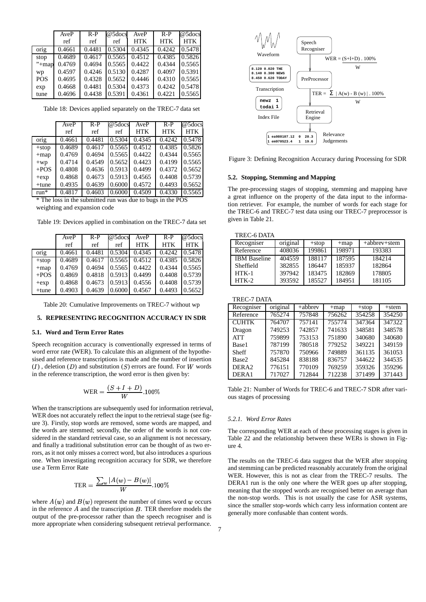|            | AveP   | $R-P$  | $@5$ docs | AveP       | $R-P$      | @5docs     |
|------------|--------|--------|-----------|------------|------------|------------|
|            | ref    | ref    | ref       | <b>HTK</b> | <b>HTK</b> | <b>HTK</b> |
| orig       | 0.4661 | 0.4481 | 0.5304    | 0.4345     | 0.4242     | 0.5478     |
| stop       | 0.4689 | 0.4617 | 0.5565    | 0.4512     | 0.4385     | 0.5826     |
| $"+map$    | 0.4769 | 0.4694 | 0.5565    | 0.4422     | 0.4344     | 0.5565     |
| wp         | 0.4597 | 0.4246 | 0.5130    | 0.4287     | 0.4097     | 0.5391     |
| <b>POS</b> | 0.4695 | 0.4328 | 0.5652    | 0.4446     | 0.4310     | 0.5565     |
| exp        | 0.4668 | 0.4481 | 0.5304    | 0.4373     | 0.4242     | 0.5478     |
| tune       | 0.4696 | 0.4438 | 0.5391    | 0.4361     | 0.4221     | 0.5565     |

Table 18: Devices applied separately on the TREC-7 data set

|          | AveP   | $R-P$           | @5docs | AveP       | $R-P$               | $@5$ docs  |
|----------|--------|-----------------|--------|------------|---------------------|------------|
|          | ref    | ref             | ref    | <b>HTK</b> | <b>HTK</b>          | <b>HTK</b> |
| orig     | 0.4661 | $\sqrt{0.4481}$ | 0.5304 | 0.4345     | 0.4242              | 0.5478     |
| $+stop$  | 0.4689 | 0.4617          | 0.5565 | 0.4512     | $\overline{0.4385}$ | 0.5826     |
| $+map$   | 0.4769 | 0.4694          | 0.5565 | 0.4422     | 0.4344              | 0.5565     |
| $+wp$    | 0.4714 | 0.4549          | 0.5652 | 0.4423     | 0.4199              | 0.5565     |
| $+POS$   | 0.4808 | 0.4636          | 0.5913 | 0.4499     | 0.4372              | 0.5652     |
| $+exp$   | 0.4868 | 0.4673          | 0.5913 | 0.4565     | 0.4408              | 0.5739     |
| $+$ tune | 0.4935 | 0.4639          | 0.6000 | 0.4572     | 0.4493              | 0.5652     |
| $run*$   | 0.4817 | 0.4603          | 0.6000 | 0.4509     | 0.4330              | 0.5565     |

\* The loss in the submitted run was due to bugs in the POS

weighting and expansion code

|          | AveP   | $R-P$  | @5docs | AveP       | $R-P$      | @5docs     |
|----------|--------|--------|--------|------------|------------|------------|
|          | ref    | ref    | ref    | <b>HTK</b> | <b>HTK</b> | <b>HTK</b> |
| orig     | 0.4661 | 0.4481 | 0.5304 | 0.4345     | 0.4242     | 0.5478     |
| $+stop$  | 0.4689 | 0.4617 | 0.5565 | 0.4512     | 0.4385     | 0.5826     |
| $+map$   | 0.4769 | 0.4694 | 0.5565 | 0.4422     | 0.4344     | 0.5565     |
| $+POS$   | 0.4869 | 0.4818 | 0.5913 | 0.4499     | 0.4408     | 0.5739     |
| $+exp$   | 0.4868 | 0.4673 | 0.5913 | 0.4556     | 0.4408     | 0.5739     |
| $+$ tune | 0.4903 | 0.4639 | 0.6000 | 0.4567     | 0.4493     | 0.5652     |

Table 19: Devices applied in combination on the TREC-7 data set

Table 20: Cumulative Improvements on TREC-7 without wp

## **5. REPRESENTING RECOGNITION ACCURACY IN SDR**

#### **5.1. Word and Term Error Rates**

Speech recognition accuracy is conventionally expressed in terms of word error rate (WER). To calculate this an alignment of the hypothesised and reference transcriptions is made and the number of insertion  $(I)$ , deletion  $(D)$  and substitution  $(S)$  errors are found. For W words **DERA2** in the reference transcription, the word error is then given by:

$$
\text{WER} = \frac{(S+I+D)}{W} .100\%
$$

When the transcriptions are subsequently used for information retrieval, WER does not accurately reflect the input to the retrieval stage (see figure 3). Firstly, stop words are removed, some words are mapped, and the words are stemmed; secondly, the order of the words is not considered in the standard retrieval case, so an alignment is not necessary, and finally a traditional substitution error can be thought of as two errors, as it not only misses a correct word, but also introduces a spurious one. When investigating recognition accuracy for SDR, we therefore use a Term Error Rate

$$
\text{TER} = \frac{\sum_w |A(w) - B(w)|}{W}.100\%
$$

where  $A(w)$  and  $B(w)$  represent the number of times word w occurs in the reference  $A$  and the transcription  $B$ . TER therefore models the output of the pre-processor rather than the speech recogniser and is more appropriate when considering subsequent retrieval performance.



Figure 3: Defining Recognition Accuracy during Processing for SDR

#### **5.2. Stopping, Stemming and Mapping**

The pre-processing stages of stopping, stemming and mapping have a great influence on the property of the data input to the information retriever. For example, the number of words for each stage for the TREC-6 and TREC-7 test data using our TREC-7 preprocessor is given in Table 21.

| TREC-6 DATA         |          |         |        |              |  |  |  |  |
|---------------------|----------|---------|--------|--------------|--|--|--|--|
| Recogniser          | original | $+stop$ | $+map$ | +abbrev+stem |  |  |  |  |
| Reference           | 408036   | 199861  | 198971 | 193383       |  |  |  |  |
| <b>IBM</b> Baseline | 404559   | 188117  | 187595 | 184214       |  |  |  |  |
| Sheffield           | 382855   | 186447  | 185937 | 182864       |  |  |  |  |
| $HTK-1$             | 397942   | 183475  | 182869 | 178805       |  |  |  |  |
| $HTK-2$             | 393592   | 185527  | 184951 | 181105       |  |  |  |  |

| Recogniser        | original            | $+$ abbrev | $+map$ | $+stop$ | $+$ stem |
|-------------------|---------------------|------------|--------|---------|----------|
| Reference         | $76527\overline{4}$ | 757848     | 756262 | 354258  | 354250   |
| <b>CUHTK</b>      | 764707              | 757141     | 755774 | 347364  | 347322   |
| Dragon            | 749253              | 742857     | 741633 | 348581  | 348578   |
| <b>ATT</b>        | 759899              | 753153     | 751890 | 340680  | 340680   |
| Base1             | 787199              | 780518     | 779252 | 349221  | 349159   |
| Sheff             | 757870              | 750966     | 749889 | 361135  | 361053   |
| Base2             | 845284              | 838188     | 836757 | 344622  | 344535   |
| DERA <sub>2</sub> | 776151              | 770109     | 769259 | 359326  | 359296   |
| DERA1             | 717027              | 712844     | 712238 | 371499  | 371443   |

Table 21: Number of Words for TREC-6 and TREC-7 SDR after various stages of processing

#### *5.2.1. Word Error Rates*

The corresponding WER at each of these processing stages is given in Table 22 and the relationship between these WERs is shown in Figure 4.

The results on the TREC-6 data suggest that the WER after stopping and stemming can be predicted reasonably accurately from the original WER. However, this is not as clear from the TREC-7 results. The DERA1 run is the only one where the WER goes up after stopping, meaning that the stopped words are recognised better on average than the non-stop words. This is not usually the case for ASR systems, since the smaller stop-words which carry less information content are generally more confusable than content words.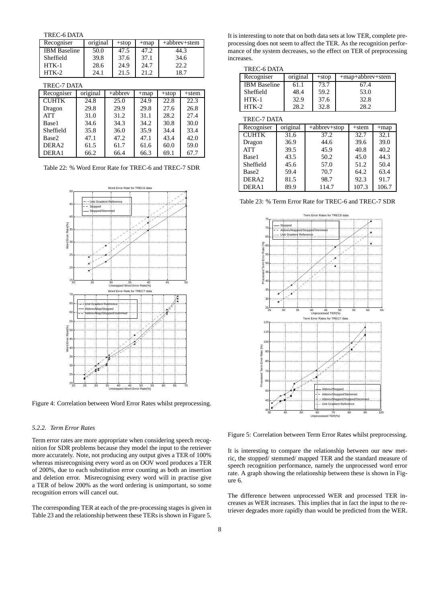TREC-6 DATA

| Recogniser          | original |         | $+stop$ | $+map$ |         | $+ab$ hrev $+$ stem |  |
|---------------------|----------|---------|---------|--------|---------|---------------------|--|
| <b>IBM</b> Baseline | 50.0     |         | 47.5    | 47.2   | 44.3    |                     |  |
| Sheffield           | 39.8     |         | 37.6    | 37.1   |         | 34.6                |  |
| $HTK-1$             | 28.6     |         | 24.9    | 24.7   | 22.2    |                     |  |
| $HTK-2$             | 24.1     |         | 21.5    | 21.2   | 18.7    |                     |  |
| <b>TREC-7 DATA</b>  |          |         |         |        |         |                     |  |
| Recogniser          | original | +abbrev |         | $+map$ | $+stop$ | $+$ stem            |  |
| <b>CUHTK</b>        | 24.8     |         | 25.0    | 24.9   | 22.8    | 22.3                |  |
| Dragon              | 29.8     |         | 29.9    | 29.8   | 27.6    | 26.8                |  |
| ATT                 | 31.0     |         | 31.2    | 31.1   | 28.2    | 27.4                |  |
| Base1               | 34.6     |         | 34.3    | 34.2   | 30.8    | 30.0                |  |
| Sheffield           | 35.8     |         | 36.0    | 35.9   | 34.4    | 33.4                |  |
| Base2               | 47.1     |         | 47.2    | 47.1   | 43.4    | 42.0                |  |
| DERA <sub>2</sub>   | 61.5     |         | 61.7    | 61.6   | 60.0    | 59.0                |  |
| DERA1               | 66.2     |         | 66.4    | 66.3   | 69.1    | 67.7                |  |

Table 22: % Word Error Rate for TREC-6 and TREC-7 SDR



Figure 4: Correlation between Word Error Rates whilst preprocessing.

#### *5.2.2. Term Error Rates*

Term error rates are more appropriate when considering speech recognition for SDR problems because they model the input to the retriever more accurately. Note, not producing any output gives a TER of 100% whereas misrecognising every word as on OOV word produces a TER of 200%, due to each substitution error counting as both an insertion and deletion error. Misrecognising every word will in practise give a TER of below 200% as the word ordering is unimportant, so some recognition errors will cancel out.

The corresponding TER at each of the pre-processing stages is given in Table 23 and the relationship between these TERs is shown in Figure 5. It is interesting to note that on both data sets at low TER, complete preprocessing does not seem to affect the TER. As the recognition performance of the system decreases, so the effect on TER of preprocessing increases.

TREC-6 DATA

| Recogniser          | original | $+stop$ | +map+abbrev+stem |
|---------------------|----------|---------|------------------|
| <b>IBM</b> Baseline | 61.1     | 73.7    | 67.4             |
| Sheffield           | 48.4     | 59.2    | 53.0             |
| $HTK-1$             | 32.9     | 37.6    | 32.8             |
| $HTK-2$             | 28.2     | 32.8    | 28.2             |

| TREC-7 DATA       |          |                 |          |        |  |  |  |
|-------------------|----------|-----------------|----------|--------|--|--|--|
| Recogniser        | original | $+ abbrev+stop$ | $+$ stem | $+map$ |  |  |  |
| <b>CUHTK</b>      | 31.6     | 37.2            | 32.7     | 32.1   |  |  |  |
| Dragon            | 36.9     | 44.6            | 39.6     | 39.0   |  |  |  |
| <b>ATT</b>        | 39.5     | 45.9            | 40.8     | 40.2   |  |  |  |
| Base1             | 43.5     | 50.2            | 45.0     | 44.3   |  |  |  |
| Sheffield         | 45.6     | 57.0            | 51.2     | 50.4   |  |  |  |
| Base2             | 59.4     | 70.7            | 64.2     | 63.4   |  |  |  |
| DERA <sub>2</sub> | 81.5     | 98.7            | 92.3     | 91.7   |  |  |  |
| DERA1             | 89.9     | 114.7           | 107.3    | 106.7  |  |  |  |





Figure 5: Correlation between Term Error Rates whilst preprocessing.

It is interesting to compare the relationship between our new metric, the stopped/ stemmed/ mapped TER and the standard measure of speech recognition performance, namely the unprocessed word error rate. A graph showing the relationship between these is shown in Figure 6.

The difference between unprocessed WER and processed TER increases as WER increases. This implies that in fact the input to the retriever degrades more rapidly than would be predicted from the WER.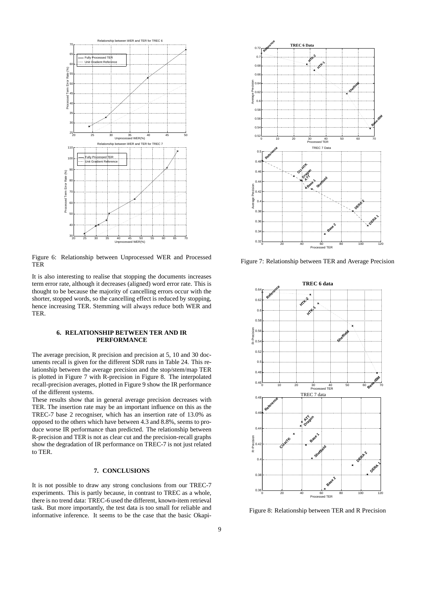

Figure 6: Relationship between Unprocessed WER and Processed TER

It is also interesting to realise that stopping the documents increases term error rate, although it decreases (aligned) word error rate. This is thought to be because the majority of cancelling errors occur with the shorter, stopped words, so the cancelling effect is reduced by stopping, hence increasing TER. Stemming will always reduce both WER and TER.

## **6. RELATIONSHIP BETWEEN TER AND IR PERFORMANCE**

The average precision, R precision and precision at 5, 10 and 30 documents recall is given for the different SDR runs in Table 24. This relationship between the average precision and the stop/stem/map TER is plotted in Figure 7 with R-precision in Figure 8. The interpolated recall-precision averages, plotted in Figure 9 show the IR performance of the different systems.

These results show that in general average precision decreases with TER. The insertion rate may be an important influence on this as the TREC-7 base 2 recogniser, which has an insertion rate of 13.0% as opposed to the others which have between 4.3 and 8.8%, seems to produce worse IR performance than predicted. The relationship between R-precision and TER is not as clear cut and the precision-recall graphs show the degradation of IR performance on TREC-7 is not just related to TER.

## **7. CONCLUSIONS**

It is not possible to draw any strong conclusions from our TREC-7 experiments. This is partly because, in contrast to TREC as a whole, there is no trend data: TREC-6 used the different, known-item retrieval task. But more importantly, the test data is too small for reliable and informative inference. It seems to be the case that the basic Okapi-



Figure 7: Relationship between TER and Average Precision



Figure 8: Relationship between TER and R Precision